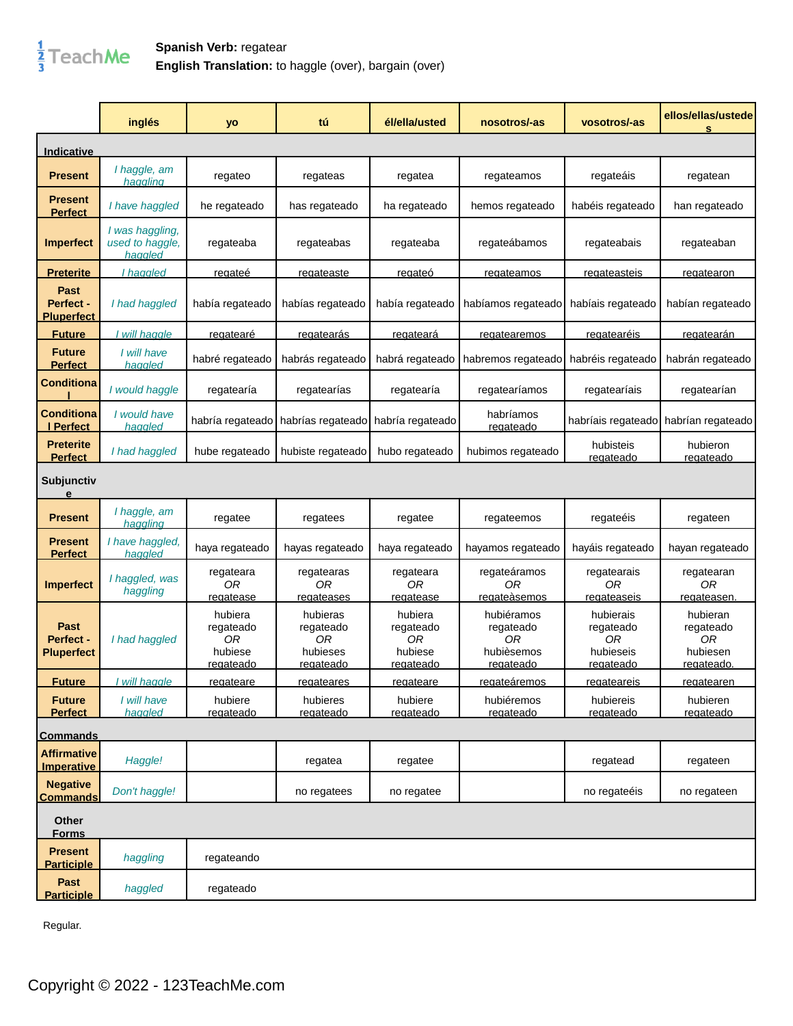

## **Spanish Verb:** regatear **English Translation:** to haggle (over), bargain (over)

|                                         | inglés                                        | yo                                                        | tú                                                          | él/ella/usted                                             | nosotros/-as                                                    | vosotros/-as                                           | ellos/ellas/ustede<br>s                               |
|-----------------------------------------|-----------------------------------------------|-----------------------------------------------------------|-------------------------------------------------------------|-----------------------------------------------------------|-----------------------------------------------------------------|--------------------------------------------------------|-------------------------------------------------------|
| <b>Indicative</b>                       |                                               |                                                           |                                                             |                                                           |                                                                 |                                                        |                                                       |
| <b>Present</b>                          | I haggle, am<br>haggling                      | regateo                                                   | regateas                                                    | regatea                                                   | regateamos                                                      | regateáis                                              | regatean                                              |
| Present<br><b>Perfect</b>               | I have haggled                                | he regateado                                              | has regateado                                               | ha regateado                                              | hemos regateado                                                 | habéis regateado                                       | han regateado                                         |
| <b>Imperfect</b>                        | I was haggling,<br>used to haggle,<br>haggled | regateaba                                                 | regateabas                                                  | regateaba                                                 | regateábamos                                                    | regateabais                                            | regateaban                                            |
| <u>Preterite</u>                        | haggled                                       | <u>regateé</u>                                            | regateaste                                                  | regateó                                                   | regateamos                                                      | <u>regateasteis</u>                                    | regatearon                                            |
| Past<br>Perfect -<br><b>Pluperfect</b>  | I had haggled                                 | había regateado                                           | habías regateado                                            | había regateado                                           | habíamos regateado                                              | habíais regateado                                      | habían regateado                                      |
| <b>Future</b>                           | will haggle                                   | <u>regatearé</u>                                          | <u>regatearás</u>                                           | <u>regateará</u>                                          | regatearemos                                                    | <u>regatearéis</u>                                     | <u>regatearán</u>                                     |
| <b>Future</b><br><b>Perfect</b>         | I will have<br>haqqled                        | habré regateado                                           | habrás regateado                                            | habrá regateado                                           | habremos regateado                                              | habréis regateado                                      | habrán regateado                                      |
| <b>Conditiona</b>                       | I would haggle                                | regatearía                                                | regatearías                                                 | regatearía                                                | regatearíamos                                                   | regatearíais                                           | regatearían                                           |
| <b>Conditiona</b><br>I Perfect          | I would have<br>haggled                       | habría regateado                                          | habrías regateado                                           | habría regateado                                          | habríamos<br>regateado                                          | habríais regateado                                     | habrían regateado                                     |
| <b>Preterite</b><br><b>Perfect</b>      | I had haggled                                 | hube regateado                                            | hubiste regateado                                           | hubo regateado                                            | hubimos regateado                                               | hubisteis<br>regateado                                 | hubieron<br>regateado                                 |
| Subjunctiv<br>e                         |                                               |                                                           |                                                             |                                                           |                                                                 |                                                        |                                                       |
| <b>Present</b>                          | I haggle, am<br>haaalina                      | regatee                                                   | regatees                                                    | regatee                                                   | regateemos                                                      | regateéis                                              | regateen                                              |
| Present<br><b>Perfect</b>               | I have haggled,<br>haggled                    | haya regateado                                            | hayas regateado                                             | haya regateado                                            | hayamos regateado                                               | hayáis regateado                                       | hayan regateado                                       |
| <b>Imperfect</b>                        | I haggled, was<br>haggling                    | regateara<br>ОR<br>regatease                              | regatearas<br>0R<br>regateases                              | regateara<br>0R<br>regatease                              | regateáramos<br>0R<br>regateàsemos                              | regatearais<br>0R<br>regateaseis                       | regatearan<br>0R<br>regateasen                        |
| Past<br>Perfect -<br><b>Pluperfect</b>  | I had haggled                                 | hubiera<br>regateado<br>0R<br>hubiese<br><u>regateado</u> | hubieras<br>regateado<br>0R<br>hubieses<br><u>regateado</u> | hubiera<br>regateado<br>0R<br>hubiese<br><u>regateado</u> | hubiéramos<br>regateado<br>0R<br>hubièsemos<br><u>regateado</u> | hubierais<br>regateado<br>ОR<br>hubieseis<br>regateado | hubieran<br>regateado<br>0R<br>hubiesen<br>regateado. |
| <b>Future</b>                           | I will haggle                                 | <u>reqateare</u>                                          | <u>reqateares</u>                                           | <u>reqateare</u>                                          | <u>reqatearemos</u>                                             | <u>regateareis</u>                                     | <u>reqatearen</u>                                     |
| <b>Future</b><br><b>Perfect</b>         | I will have<br>haggled                        | hubiere<br>regateado                                      | hubieres<br>regateado                                       | hubiere<br>regateado                                      | hubiéremos<br>regateado                                         | hubiereis<br>regateado                                 | hubieren<br>regateado                                 |
| <b>Commands</b>                         |                                               |                                                           |                                                             |                                                           |                                                                 |                                                        |                                                       |
| <b>Affirmative</b><br><b>Imperative</b> | Haggle!                                       |                                                           | regatea                                                     | regatee                                                   |                                                                 | regatead                                               | regateen                                              |
| <b>Negative</b><br><b>Commands</b>      | Don't haggle!                                 |                                                           | no regatees                                                 | no regatee                                                |                                                                 | no regateéis                                           | no regateen                                           |
| Other<br><b>Forms</b>                   |                                               |                                                           |                                                             |                                                           |                                                                 |                                                        |                                                       |
| <b>Present</b><br><b>Participle</b>     | haggling                                      | regateando                                                |                                                             |                                                           |                                                                 |                                                        |                                                       |
| Past<br><b>Participle</b>               | haggled                                       | regateado                                                 |                                                             |                                                           |                                                                 |                                                        |                                                       |

Regular.